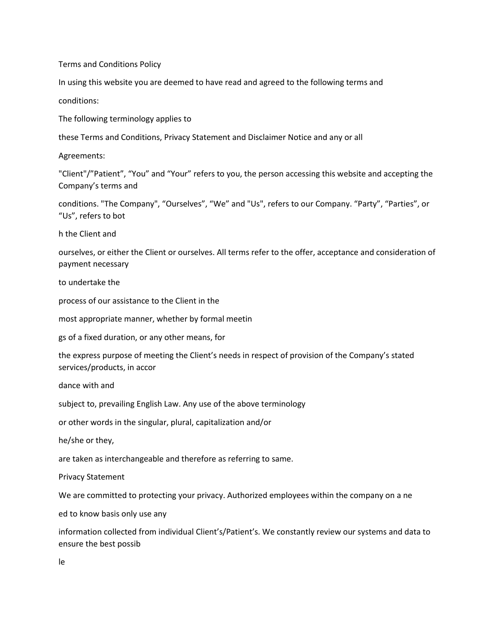Terms and Conditions Policy

In using this website you are deemed to have read and agreed to the following terms and

conditions:

The following terminology applies to

these Terms and Conditions, Privacy Statement and Disclaimer Notice and any or all

Agreements:

"Client"/"Patient", "You" and "Your" refers to you, the person accessing this website and accepting the Company's terms and

conditions. "The Company", "Ourselves", "We" and "Us", refers to our Company. "Party", "Parties", or "Us", refers to bot

h the Client and

ourselves, or either the Client or ourselves. All terms refer to the offer, acceptance and consideration of payment necessary

to undertake the

process of our assistance to the Client in the

most appropriate manner, whether by formal meetin

gs of a fixed duration, or any other means, for

the express purpose of meeting the Client's needs in respect of provision of the Company's stated services/products, in accor

dance with and

subject to, prevailing English Law. Any use of the above terminology

or other words in the singular, plural, capitalization and/or

he/she or they,

are taken as interchangeable and therefore as referring to same.

Privacy Statement

We are committed to protecting your privacy. Authorized employees within the company on a ne

ed to know basis only use any

information collected from individual Client's/Patient's. We constantly review our systems and data to ensure the best possib

le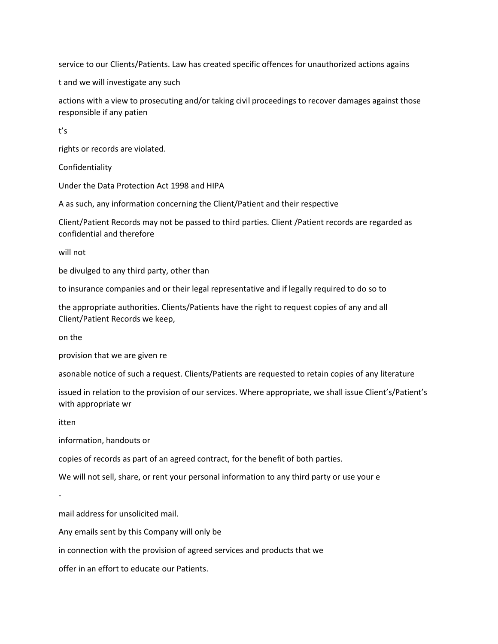service to our Clients/Patients. Law has created specific offences for unauthorized actions agains

t and we will investigate any such

actions with a view to prosecuting and/or taking civil proceedings to recover damages against those responsible if any patien

t's

rights or records are violated.

Confidentiality

Under the Data Protection Act 1998 and HIPA

A as such, any information concerning the Client/Patient and their respective

Client/Patient Records may not be passed to third parties. Client /Patient records are regarded as confidential and therefore

will not

be divulged to any third party, other than

to insurance companies and or their legal representative and if legally required to do so to

the appropriate authorities. Clients/Patients have the right to request copies of any and all Client/Patient Records we keep,

on the

provision that we are given re

asonable notice of such a request. Clients/Patients are requested to retain copies of any literature

issued in relation to the provision of our services. Where appropriate, we shall issue Client's/Patient's with appropriate wr

itten

-

information, handouts or

copies of records as part of an agreed contract, for the benefit of both parties.

We will not sell, share, or rent your personal information to any third party or use your e

mail address for unsolicited mail.

Any emails sent by this Company will only be

in connection with the provision of agreed services and products that we

offer in an effort to educate our Patients.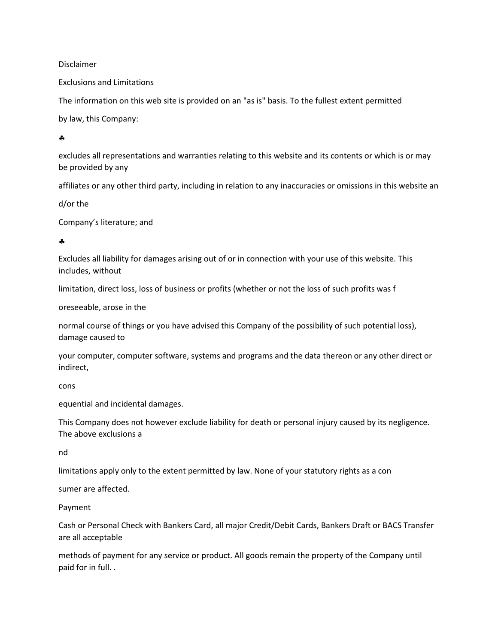Disclaimer

Exclusions and Limitations

The information on this web site is provided on an "as is" basis. To the fullest extent permitted

by law, this Company:

 $\Delta$ 

excludes all representations and warranties relating to this website and its contents or which is or may be provided by any

affiliates or any other third party, including in relation to any inaccuracies or omissions in this website an

d/or the

Company's literature; and

 $\bullet$ 

Excludes all liability for damages arising out of or in connection with your use of this website. This includes, without

limitation, direct loss, loss of business or profits (whether or not the loss of such profits was f

oreseeable, arose in the

normal course of things or you have advised this Company of the possibility of such potential loss), damage caused to

your computer, computer software, systems and programs and the data thereon or any other direct or indirect,

cons

equential and incidental damages.

This Company does not however exclude liability for death or personal injury caused by its negligence. The above exclusions a

nd

limitations apply only to the extent permitted by law. None of your statutory rights as a con

sumer are affected.

Payment

Cash or Personal Check with Bankers Card, all major Credit/Debit Cards, Bankers Draft or BACS Transfer are all acceptable

methods of payment for any service or product. All goods remain the property of the Company until paid for in full. .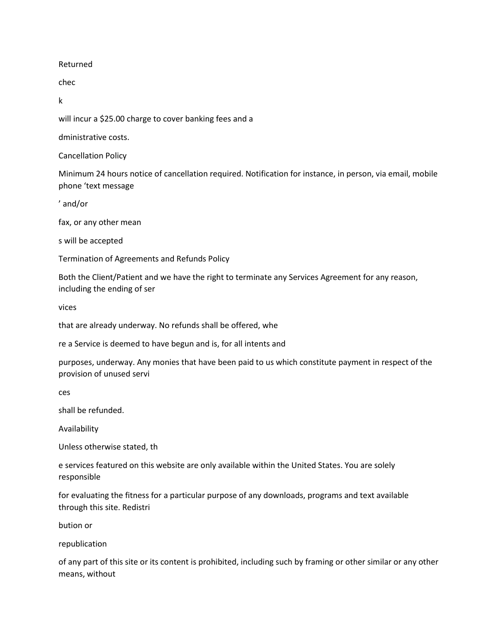Returned

chec

k

will incur a \$25.00 charge to cover banking fees and a

dministrative costs.

Cancellation Policy

Minimum 24 hours notice of cancellation required. Notification for instance, in person, via email, mobile phone 'text message

' and/or

fax, or any other mean

s will be accepted

Termination of Agreements and Refunds Policy

Both the Client/Patient and we have the right to terminate any Services Agreement for any reason, including the ending of ser

vices

that are already underway. No refunds shall be offered, whe

re a Service is deemed to have begun and is, for all intents and

purposes, underway. Any monies that have been paid to us which constitute payment in respect of the provision of unused servi

ces

shall be refunded.

Availability

Unless otherwise stated, th

e services featured on this website are only available within the United States. You are solely responsible

for evaluating the fitness for a particular purpose of any downloads, programs and text available through this site. Redistri

bution or

republication

of any part of this site or its content is prohibited, including such by framing or other similar or any other means, without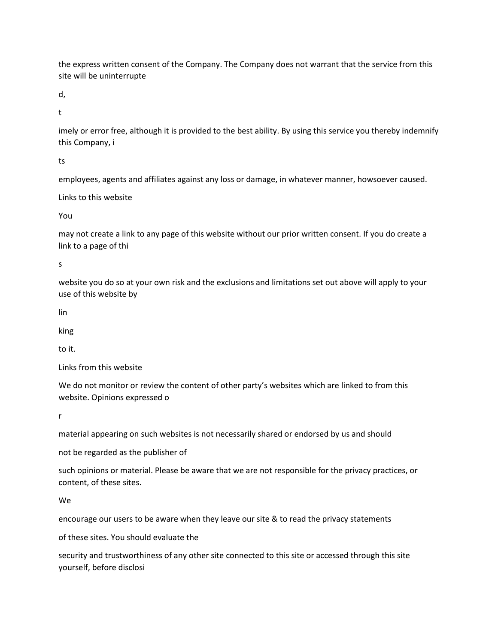the express written consent of the Company. The Company does not warrant that the service from this site will be uninterrupte

d,

t

imely or error free, although it is provided to the best ability. By using this service you thereby indemnify this Company, i

ts

employees, agents and affiliates against any loss or damage, in whatever manner, howsoever caused.

Links to this website

You

may not create a link to any page of this website without our prior written consent. If you do create a link to a page of thi

s

website you do so at your own risk and the exclusions and limitations set out above will apply to your use of this website by

lin

king

to it.

Links from this website

We do not monitor or review the content of other party's websites which are linked to from this website. Opinions expressed o

r

material appearing on such websites is not necessarily shared or endorsed by us and should

not be regarded as the publisher of

such opinions or material. Please be aware that we are not responsible for the privacy practices, or content, of these sites.

We

encourage our users to be aware when they leave our site & to read the privacy statements

of these sites. You should evaluate the

security and trustworthiness of any other site connected to this site or accessed through this site yourself, before disclosi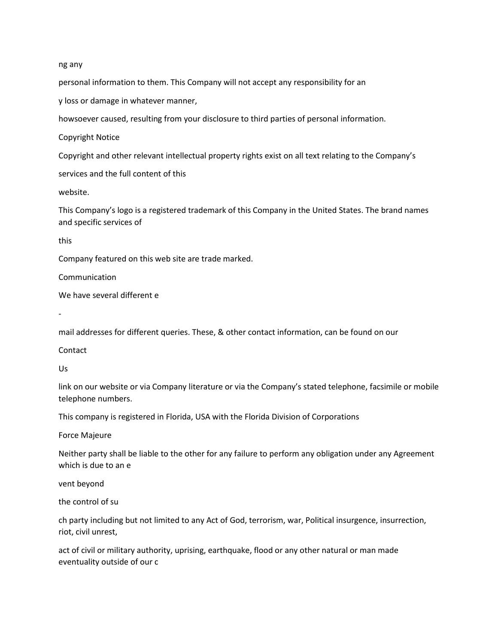ng any

personal information to them. This Company will not accept any responsibility for an

y loss or damage in whatever manner,

howsoever caused, resulting from your disclosure to third parties of personal information.

Copyright Notice

Copyright and other relevant intellectual property rights exist on all text relating to the Company's

services and the full content of this

website.

This Company's logo is a registered trademark of this Company in the United States. The brand names and specific services of

this

Company featured on this web site are trade marked.

Communication

We have several different e

-

mail addresses for different queries. These, & other contact information, can be found on our

**Contact** 

Us

link on our website or via Company literature or via the Company's stated telephone, facsimile or mobile telephone numbers.

This company is registered in Florida, USA with the Florida Division of Corporations

Force Majeure

Neither party shall be liable to the other for any failure to perform any obligation under any Agreement which is due to an e

vent beyond

the control of su

ch party including but not limited to any Act of God, terrorism, war, Political insurgence, insurrection, riot, civil unrest,

act of civil or military authority, uprising, earthquake, flood or any other natural or man made eventuality outside of our c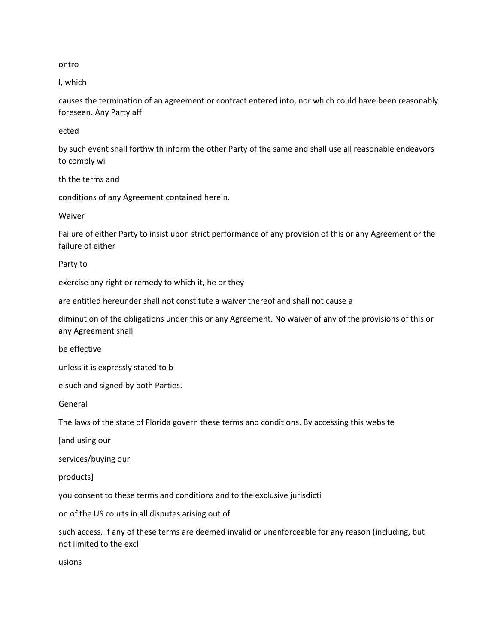ontro

l, which

causes the termination of an agreement or contract entered into, nor which could have been reasonably foreseen. Any Party aff

ected

by such event shall forthwith inform the other Party of the same and shall use all reasonable endeavors to comply wi

th the terms and

conditions of any Agreement contained herein.

Waiver

Failure of either Party to insist upon strict performance of any provision of this or any Agreement or the failure of either

Party to

exercise any right or remedy to which it, he or they

are entitled hereunder shall not constitute a waiver thereof and shall not cause a

diminution of the obligations under this or any Agreement. No waiver of any of the provisions of this or any Agreement shall

be effective

unless it is expressly stated to b

e such and signed by both Parties.

General

The laws of the state of Florida govern these terms and conditions. By accessing this website

[and using our

services/buying our

products]

you consent to these terms and conditions and to the exclusive jurisdicti

on of the US courts in all disputes arising out of

such access. If any of these terms are deemed invalid or unenforceable for any reason (including, but not limited to the excl

usions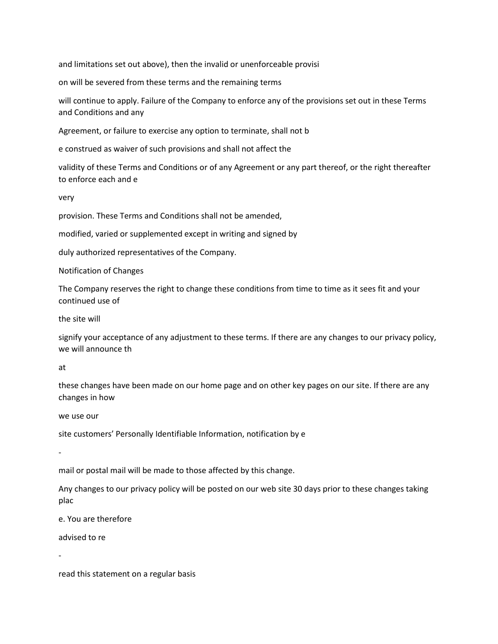and limitations set out above), then the invalid or unenforceable provisi

on will be severed from these terms and the remaining terms

will continue to apply. Failure of the Company to enforce any of the provisions set out in these Terms and Conditions and any

Agreement, or failure to exercise any option to terminate, shall not b

e construed as waiver of such provisions and shall not affect the

validity of these Terms and Conditions or of any Agreement or any part thereof, or the right thereafter to enforce each and e

very

provision. These Terms and Conditions shall not be amended,

modified, varied or supplemented except in writing and signed by

duly authorized representatives of the Company.

Notification of Changes

The Company reserves the right to change these conditions from time to time as it sees fit and your continued use of

the site will

signify your acceptance of any adjustment to these terms. If there are any changes to our privacy policy, we will announce th

at

these changes have been made on our home page and on other key pages on our site. If there are any changes in how

we use our

site customers' Personally Identifiable Information, notification by e

-

mail or postal mail will be made to those affected by this change.

Any changes to our privacy policy will be posted on our web site 30 days prior to these changes taking plac

e. You are therefore

advised to re

-

read this statement on a regular basis